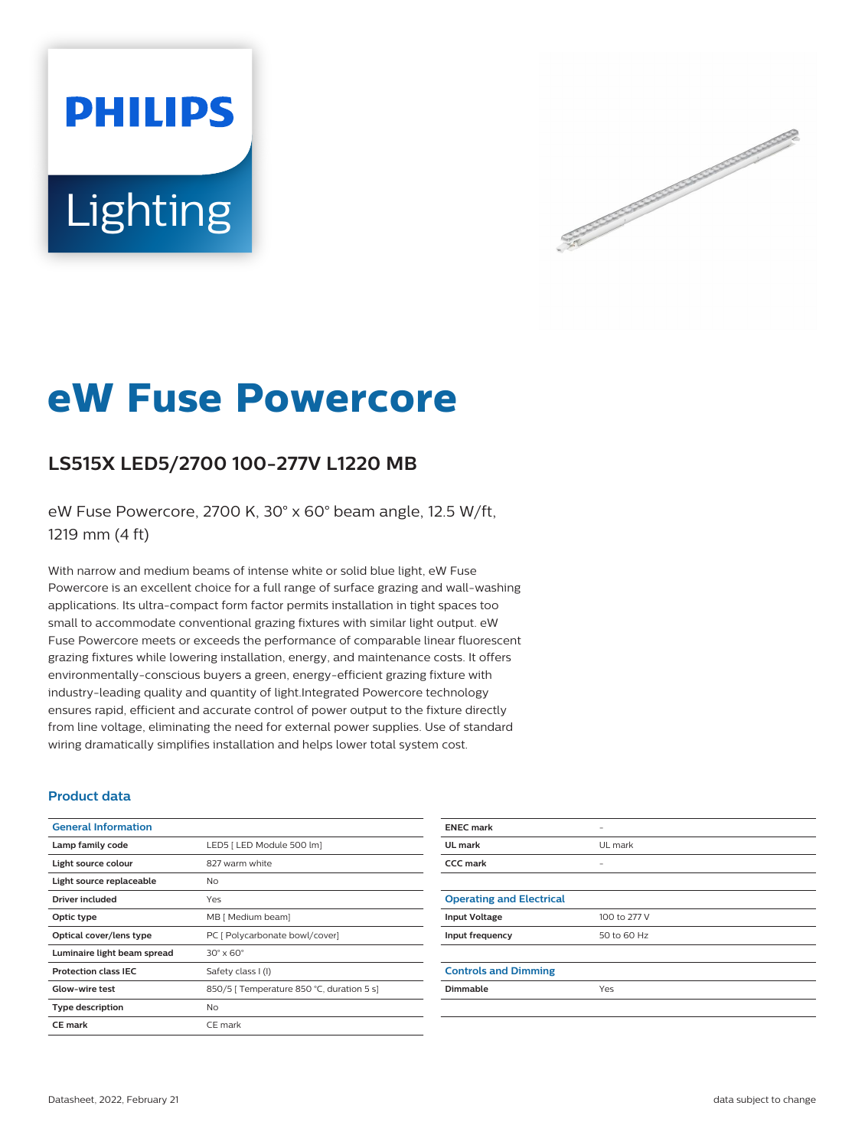# **PHILIPS** Lighting



# **eW Fuse Powercore**

# **LS515X LED5/2700 100-277V L1220 MB**

eW Fuse Powercore, 2700 K, 30° x 60° beam angle, 12.5 W/ft, 1219 mm (4 ft)

With narrow and medium beams of intense white or solid blue light, eW Fuse Powercore is an excellent choice for a full range of surface grazing and wall-washing applications. Its ultra-compact form factor permits installation in tight spaces too small to accommodate conventional grazing fixtures with similar light output. eW Fuse Powercore meets or exceeds the performance of comparable linear fluorescent grazing fixtures while lowering installation, energy, and maintenance costs. It offers environmentally-conscious buyers a green, energy-efficient grazing fixture with industry-leading quality and quantity of light.Integrated Powercore technology ensures rapid, efficient and accurate control of power output to the fixture directly from line voltage, eliminating the need for external power supplies. Use of standard wiring dramatically simplifies installation and helps lower total system cost.

# **Product data**

| <b>General Information</b>  |                                           |
|-----------------------------|-------------------------------------------|
| Lamp family code            | LED5   LED Module 500 lm]                 |
| Light source colour         | 827 warm white                            |
| Light source replaceable    | No.                                       |
| Driver included             | Yes                                       |
| Optic type                  | MB [ Medium beam]                         |
| Optical cover/lens type     | PC [ Polycarbonate bowl/cover]            |
| Luminaire light beam spread | $30^\circ \times 60^\circ$                |
| <b>Protection class IEC</b> | Safety class I (I)                        |
| Glow-wire test              | 850/5   Temperature 850 °C, duration 5 s] |
| <b>Type description</b>     | No.                                       |
| <b>CE</b> mark              | CE mark                                   |

| <b>ENEC mark</b>                |              |
|---------------------------------|--------------|
| UL mark                         | UL mark      |
| <b>CCC mark</b>                 |              |
|                                 |              |
| <b>Operating and Electrical</b> |              |
| <b>Input Voltage</b>            | 100 to 277 V |
| Input frequency                 | 50 to 60 Hz  |
|                                 |              |
| <b>Controls and Dimming</b>     |              |
| <b>Dimmable</b>                 | Yes          |
|                                 |              |